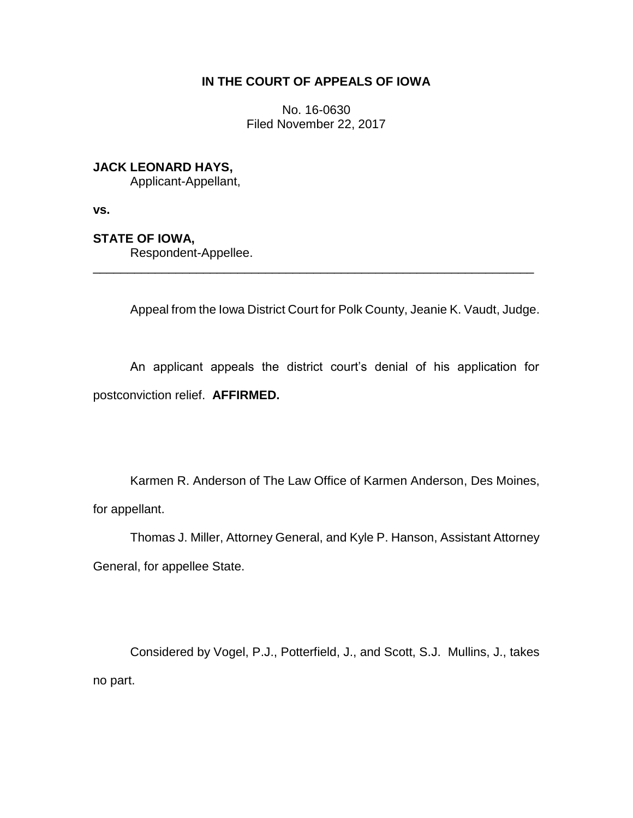# **IN THE COURT OF APPEALS OF IOWA**

No. 16-0630 Filed November 22, 2017

# **JACK LEONARD HAYS,**

Applicant-Appellant,

**vs.**

## **STATE OF IOWA,**

Respondent-Appellee.

Appeal from the Iowa District Court for Polk County, Jeanie K. Vaudt, Judge.

An applicant appeals the district court's denial of his application for postconviction relief. **AFFIRMED.**

\_\_\_\_\_\_\_\_\_\_\_\_\_\_\_\_\_\_\_\_\_\_\_\_\_\_\_\_\_\_\_\_\_\_\_\_\_\_\_\_\_\_\_\_\_\_\_\_\_\_\_\_\_\_\_\_\_\_\_\_\_\_\_\_

Karmen R. Anderson of The Law Office of Karmen Anderson, Des Moines, for appellant.

Thomas J. Miller, Attorney General, and Kyle P. Hanson, Assistant Attorney General, for appellee State.

Considered by Vogel, P.J., Potterfield, J., and Scott, S.J. Mullins, J., takes no part.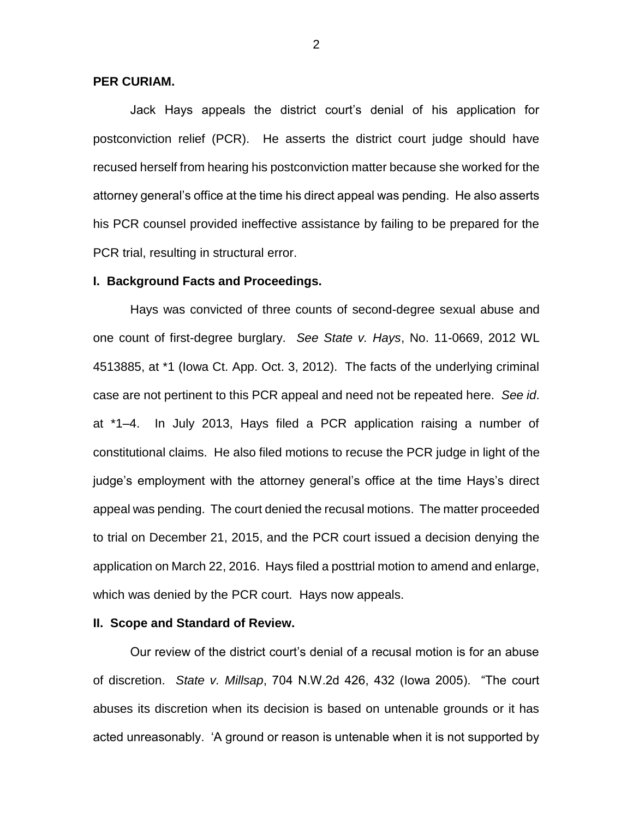## **PER CURIAM.**

Jack Hays appeals the district court's denial of his application for postconviction relief (PCR). He asserts the district court judge should have recused herself from hearing his postconviction matter because she worked for the attorney general's office at the time his direct appeal was pending. He also asserts his PCR counsel provided ineffective assistance by failing to be prepared for the PCR trial, resulting in structural error.

#### **I. Background Facts and Proceedings.**

Hays was convicted of three counts of second-degree sexual abuse and one count of first-degree burglary. *See State v. Hays*, No. 11-0669, 2012 WL 4513885, at \*1 (Iowa Ct. App. Oct. 3, 2012). The facts of the underlying criminal case are not pertinent to this PCR appeal and need not be repeated here. *See id*. at \*1–4. In July 2013, Hays filed a PCR application raising a number of constitutional claims. He also filed motions to recuse the PCR judge in light of the judge's employment with the attorney general's office at the time Hays's direct appeal was pending. The court denied the recusal motions. The matter proceeded to trial on December 21, 2015, and the PCR court issued a decision denying the application on March 22, 2016. Hays filed a posttrial motion to amend and enlarge, which was denied by the PCR court. Hays now appeals.

#### **II. Scope and Standard of Review.**

Our review of the district court's denial of a recusal motion is for an abuse of discretion. *State v. Millsap*, 704 N.W.2d 426, 432 (Iowa 2005). "The court abuses its discretion when its decision is based on untenable grounds or it has acted unreasonably. 'A ground or reason is untenable when it is not supported by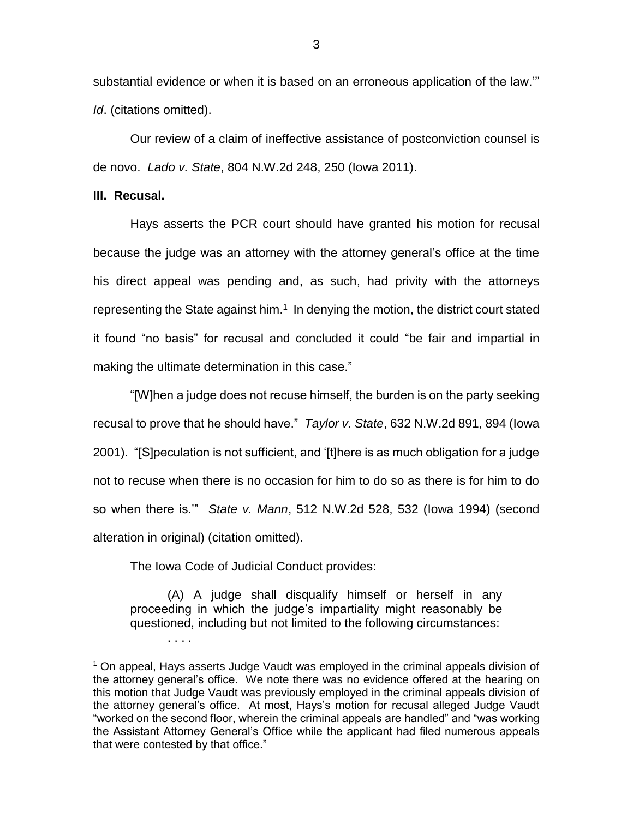substantial evidence or when it is based on an erroneous application of the law.'" *Id*. (citations omitted).

Our review of a claim of ineffective assistance of postconviction counsel is de novo. *Lado v. State*, 804 N.W.2d 248, 250 (Iowa 2011).

#### **III. Recusal.**

Hays asserts the PCR court should have granted his motion for recusal because the judge was an attorney with the attorney general's office at the time his direct appeal was pending and, as such, had privity with the attorneys representing the State against him. $1$  In denying the motion, the district court stated it found "no basis" for recusal and concluded it could "be fair and impartial in making the ultimate determination in this case."

"[W]hen a judge does not recuse himself, the burden is on the party seeking recusal to prove that he should have." *Taylor v. State*, 632 N.W.2d 891, 894 (Iowa 2001). "[S]peculation is not sufficient, and '[t]here is as much obligation for a judge not to recuse when there is no occasion for him to do so as there is for him to do so when there is.'" *State v. Mann*, 512 N.W.2d 528, 532 (Iowa 1994) (second alteration in original) (citation omitted).

The Iowa Code of Judicial Conduct provides:

. . . .

 $\overline{a}$ 

(A) A judge shall disqualify himself or herself in any proceeding in which the judge's impartiality might reasonably be questioned, including but not limited to the following circumstances:

 $1$  On appeal, Hays asserts Judge Vaudt was employed in the criminal appeals division of the attorney general's office. We note there was no evidence offered at the hearing on this motion that Judge Vaudt was previously employed in the criminal appeals division of the attorney general's office. At most, Hays's motion for recusal alleged Judge Vaudt "worked on the second floor, wherein the criminal appeals are handled" and "was working the Assistant Attorney General's Office while the applicant had filed numerous appeals that were contested by that office."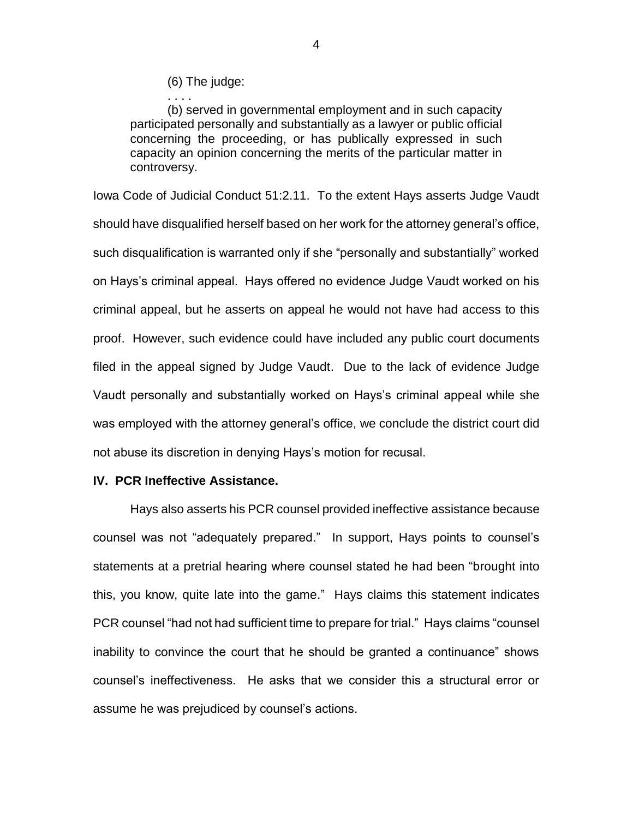(6) The judge:

. . . .

(b) served in governmental employment and in such capacity participated personally and substantially as a lawyer or public official concerning the proceeding, or has publically expressed in such capacity an opinion concerning the merits of the particular matter in controversy.

Iowa Code of Judicial Conduct 51:2.11. To the extent Hays asserts Judge Vaudt should have disqualified herself based on her work for the attorney general's office, such disqualification is warranted only if she "personally and substantially" worked on Hays's criminal appeal. Hays offered no evidence Judge Vaudt worked on his criminal appeal, but he asserts on appeal he would not have had access to this proof. However, such evidence could have included any public court documents filed in the appeal signed by Judge Vaudt. Due to the lack of evidence Judge Vaudt personally and substantially worked on Hays's criminal appeal while she was employed with the attorney general's office, we conclude the district court did not abuse its discretion in denying Hays's motion for recusal.

## **IV. PCR Ineffective Assistance.**

Hays also asserts his PCR counsel provided ineffective assistance because counsel was not "adequately prepared." In support, Hays points to counsel's statements at a pretrial hearing where counsel stated he had been "brought into this, you know, quite late into the game." Hays claims this statement indicates PCR counsel "had not had sufficient time to prepare for trial." Hays claims "counsel inability to convince the court that he should be granted a continuance" shows counsel's ineffectiveness. He asks that we consider this a structural error or assume he was prejudiced by counsel's actions.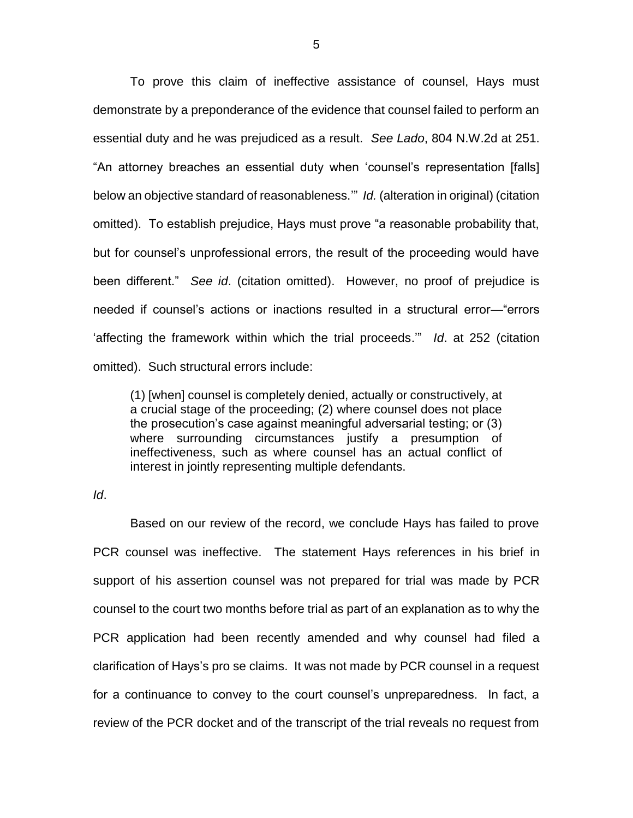To prove this claim of ineffective assistance of counsel, Hays must demonstrate by a preponderance of the evidence that counsel failed to perform an essential duty and he was prejudiced as a result. *See Lado*, 804 N.W.2d at 251. "An attorney breaches an essential duty when 'counsel's representation [falls] below an objective standard of reasonableness.'" *Id.* (alteration in original) (citation omitted). To establish prejudice, Hays must prove "a reasonable probability that, but for counsel's unprofessional errors, the result of the proceeding would have been different." *See id*. (citation omitted). However, no proof of prejudice is needed if counsel's actions or inactions resulted in a structural error—"errors 'affecting the framework within which the trial proceeds.'" *Id*. at 252 (citation omitted). Such structural errors include:

(1) [when] counsel is completely denied, actually or constructively, at a crucial stage of the proceeding; (2) where counsel does not place the prosecution's case against meaningful adversarial testing; or (3) where surrounding circumstances justify a presumption of ineffectiveness, such as where counsel has an actual conflict of interest in jointly representing multiple defendants.

*Id*.

Based on our review of the record, we conclude Hays has failed to prove PCR counsel was ineffective. The statement Hays references in his brief in support of his assertion counsel was not prepared for trial was made by PCR counsel to the court two months before trial as part of an explanation as to why the PCR application had been recently amended and why counsel had filed a clarification of Hays's pro se claims. It was not made by PCR counsel in a request for a continuance to convey to the court counsel's unpreparedness. In fact, a review of the PCR docket and of the transcript of the trial reveals no request from